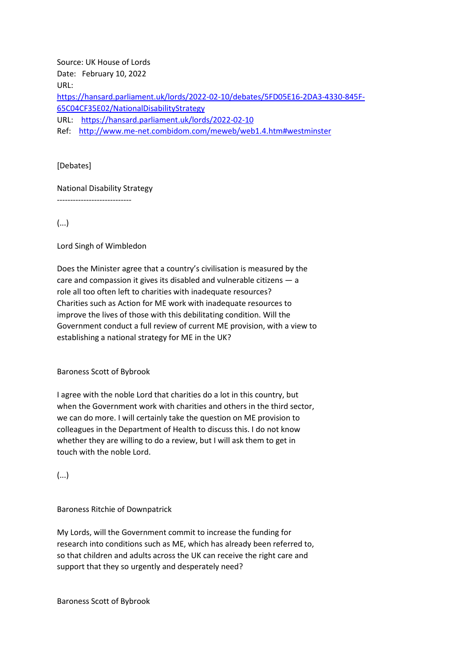Source: UK House of Lords Date: February 10, 2022 URL: [https://hansard.parliament.uk/lords/2022-02-10/debates/5FD05E16-2DA3-4330-845F-](https://hansard.parliament.uk/lords/2022-02-10/debates/5FD05E16-2DA3-4330-845F-65C04CF35E02/NationalDisabilityStrategy)[65C04CF35E02/NationalDisabilityStrategy](https://hansard.parliament.uk/lords/2022-02-10/debates/5FD05E16-2DA3-4330-845F-65C04CF35E02/NationalDisabilityStrategy) URL: <https://hansard.parliament.uk/lords/2022-02-10> Ref: <http://www.me-net.combidom.com/meweb/web1.4.htm#westminster>

[Debates]

National Disability Strategy

----------------------------

(...)

Lord Singh of Wimbledon

Does the Minister agree that a country's civilisation is measured by the care and compassion it gives its disabled and vulnerable citizens — a role all too often left to charities with inadequate resources? Charities such as Action for ME work with inadequate resources to improve the lives of those with this debilitating condition. Will the Government conduct a full review of current ME provision, with a view to establishing a national strategy for ME in the UK?

Baroness Scott of Bybrook

I agree with the noble Lord that charities do a lot in this country, but when the Government work with charities and others in the third sector, we can do more. I will certainly take the question on ME provision to colleagues in the Department of Health to discuss this. I do not know whether they are willing to do a review, but I will ask them to get in touch with the noble Lord.

(...)

Baroness Ritchie of Downpatrick

My Lords, will the Government commit to increase the funding for research into conditions such as ME, which has already been referred to, so that children and adults across the UK can receive the right care and support that they so urgently and desperately need?

Baroness Scott of Bybrook